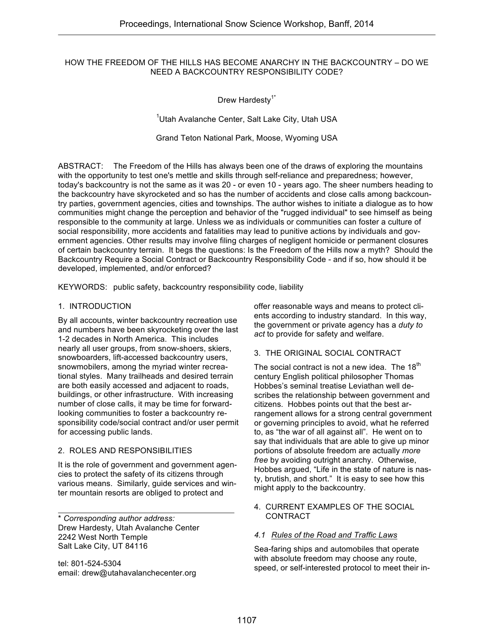#### HOW THE FREEDOM OF THE HILLS HAS BECOME ANARCHY IN THE BACKCOUNTRY – DO WE NEED A BACKCOUNTRY RESPONSIBILITY CODE?

Drew Hardesty<sup>1\*</sup>

<sup>1</sup>Utah Avalanche Center, Salt Lake City, Utah USA

Grand Teton National Park, Moose, Wyoming USA

ABSTRACT: The Freedom of the Hills has always been one of the draws of exploring the mountains with the opportunity to test one's mettle and skills through self-reliance and preparedness; however, today's backcountry is not the same as it was 20 - or even 10 - years ago. The sheer numbers heading to the backcountry have skyrocketed and so has the number of accidents and close calls among backcountry parties, government agencies, cities and townships. The author wishes to initiate a dialogue as to how communities might change the perception and behavior of the "rugged individual" to see himself as being responsible to the community at large. Unless we as individuals or communities can foster a culture of social responsibility, more accidents and fatalities may lead to punitive actions by individuals and government agencies. Other results may involve filing charges of negligent homicide or permanent closures of certain backcountry terrain. It begs the questions: Is the Freedom of the Hills now a myth? Should the Backcountry Require a Social Contract or Backcountry Responsibility Code - and if so, how should it be developed, implemented, and/or enforced?

KEYWORDS: public safety, backcountry responsibility code, liability

#### 1. INTRODUCTION

By all accounts, winter backcountry recreation use and numbers have been skyrocketing over the last 1-2 decades in North America. This includes nearly all user groups, from snow-shoers, skiers, snowboarders, lift-accessed backcountry users, snowmobilers, among the myriad winter recreational styles. Many trailheads and desired terrain are both easily accessed and adjacent to roads, buildings, or other infrastructure. With increasing number of close calls, it may be time for forwardlooking communities to foster a backcountry responsibility code/social contract and/or user permit for accessing public lands.

#### 2. ROLES AND RESPONSIBILITIES

It is the role of government and government agencies to protect the safety of its citizens through various means. Similarly, guide services and winter mountain resorts are obliged to protect and

\* *Corresponding author address:* Drew Hardesty, Utah Avalanche Center 2242 West North Temple Salt Lake City, UT 84116

tel: 801-524-5304 email: drew@utahavalanchecenter.org offer reasonable ways and means to protect clients according to industry standard. In this way, the government or private agency has a *duty to act* to provide for safety and welfare.

#### 3. THE ORIGINAL SOCIAL CONTRACT

The social contract is not a new idea. The  $18<sup>th</sup>$ century English political philosopher Thomas Hobbes's seminal treatise Leviathan well describes the relationship between government and citizens. Hobbes points out that the best arrangement allows for a strong central government or governing principles to avoid, what he referred to, as "the war of all against all". He went on to say that individuals that are able to give up minor portions of absolute freedom are actually *more free* by avoiding outright anarchy. Otherwise, Hobbes argued, "Life in the state of nature is nasty, brutish, and short." It is easy to see how this might apply to the backcountry.

4. CURRENT EXAMPLES OF THE SOCIAL CONTRACT

#### *4.1 Rules of the Road and Traffic Laws*

Sea-faring ships and automobiles that operate with absolute freedom may choose any route, speed, or self-interested protocol to meet their in